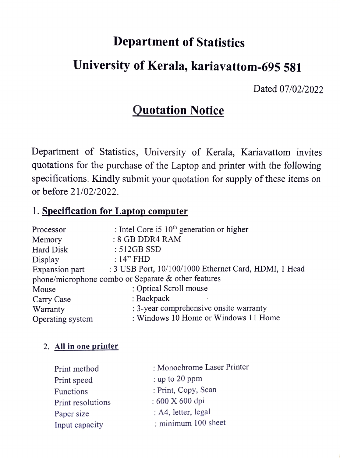# Department of Statistics

## University of Kerala, kariavattom-695 581

Dated 07/02/2022

## Quotation Notice

Department of Statistics, University of Kerala, Kariavattom invites quotations for the purchase of the Laptop and printer with the following specifications. Kindly submit your quotation for supply of these items on or before 21/02/2022.

### 1. Specification for Laptop computer

| Processor                                           | : Intel Core i5 $10th$ generation or higher           |  |
|-----------------------------------------------------|-------------------------------------------------------|--|
| Memory                                              | : 8 GB DDR4 RAM                                       |  |
| Hard Disk                                           | $: 512GB$ SSD                                         |  |
| Display                                             | $:14"$ FHD                                            |  |
| Expansion part                                      | : 3 USB Port, 10/100/1000 Ethernet Card, HDMI, 1 Head |  |
| phone/microphone combo or Separate & other features |                                                       |  |
| Mouse                                               | : Optical Scroll mouse                                |  |
| Carry Case                                          | : Backpack                                            |  |
| Warranty                                            | : 3-year comprehensive onsite warranty                |  |
| Operating system                                    | : Windows 10 Home or Windows 11 Home                  |  |

#### 2. All in one printer

| Print method      | : Monochrome Laser Printer |
|-------------------|----------------------------|
| Print speed       | : up to $20$ ppm           |
| Functions         | : Print, Copy, Scan        |
| Print resolutions | : 600 X 600 dpi            |
| Paper size        | : A4, letter, legal        |
| Input capacity    | : minimum 100 sheet        |
|                   |                            |